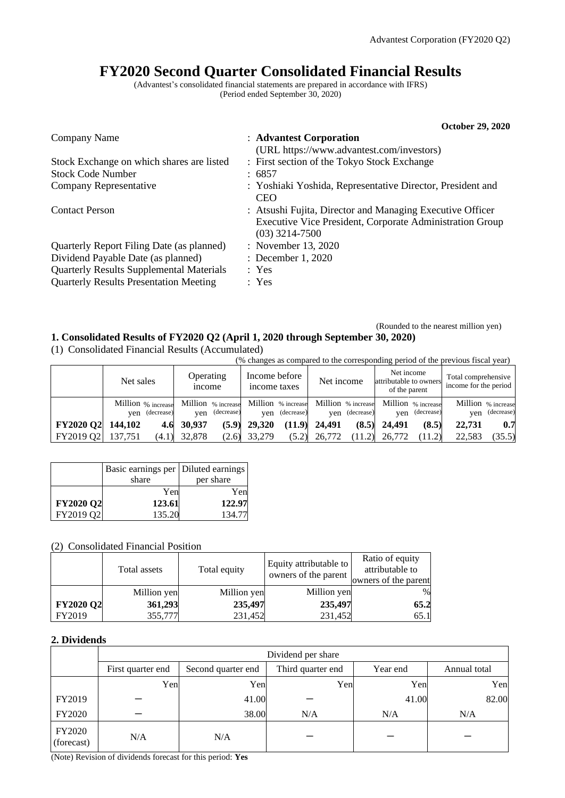## **FY2020 Second Quarter Consolidated Financial Results**

(Advantest's consolidated financial statements are prepared in accordance with IFRS) (Period ended September 30, 2020)

|                                                 | <b>October 29, 2020</b>                                                                                                                   |
|-------------------------------------------------|-------------------------------------------------------------------------------------------------------------------------------------------|
| Company Name                                    | : Advantest Corporation                                                                                                                   |
|                                                 | (URL https://www.advantest.com/investors)                                                                                                 |
| Stock Exchange on which shares are listed       | : First section of the Tokyo Stock Exchange                                                                                               |
| <b>Stock Code Number</b>                        | : 6857                                                                                                                                    |
| Company Representative                          | : Yoshiaki Yoshida, Representative Director, President and<br><b>CEO</b>                                                                  |
| <b>Contact Person</b>                           | : Atsushi Fujita, Director and Managing Executive Officer<br>Executive Vice President, Corporate Administration Group<br>$(03)$ 3214-7500 |
| Quarterly Report Filing Date (as planned)       | : November 13, 2020                                                                                                                       |
| Dividend Payable Date (as planned)              | : December 1, 2020                                                                                                                        |
| <b>Quarterly Results Supplemental Materials</b> | : Yes                                                                                                                                     |
| <b>Quarterly Results Presentation Meeting</b>   | : Yes                                                                                                                                     |

### (Rounded to the nearest million yen) **1. Consolidated Results of FY2020 Q2 (April 1, 2020 through September 30, 2020)**

(1) Consolidated Financial Results (Accumulated)

(% changes as compared to the corresponding period of the previous fiscal year)

|                   | Net sales |                | Operating<br><i>ncome</i> |            | Income before<br>income taxes |            | Net income                                                                  |                | Net income<br>attributable to owners<br>of the parent |                                  | Total comprehensive<br>income for the period |                                  |
|-------------------|-----------|----------------|---------------------------|------------|-------------------------------|------------|-----------------------------------------------------------------------------|----------------|-------------------------------------------------------|----------------------------------|----------------------------------------------|----------------------------------|
|                   |           | ven (decrease) | ven                       | (decrease) | ven                           | (decrease) | Million % increase Million % increase Million % increase Million % increase | ven (decrease) | ven                                                   | Million % increase<br>(decrease) | ven                                          | Million % increase<br>(decrease) |
| FY2020 Q2 144,102 |           | 4.6            | 30,937                    |            | $(5.9)$ 29,320                |            | $(11.9)$ 24,491                                                             | (8.5)          | 24,491                                                | (8.5)                            | 22,731                                       | 0.7                              |
| FY2019 Q2         | 137.751   |                | $(4.1)$ 32,878            |            | $(2.6)$ 33,279                | (5.2)      | 26.772                                                                      | (11.2)         | 26,772                                                | (11.2)                           | 22.583                                       | (35.5)                           |

|           | Basic earnings per   Diluted earnings |           |
|-----------|---------------------------------------|-----------|
|           | share                                 | per share |
|           | Yen                                   | Yen       |
| FY2020 Q2 | 123.61                                | 122.97    |
| FY2019 Q2 | 135.20                                | 134.77    |

## (2) Consolidated Financial Position

|                  | Total assets | Total equity | Equity attributable to<br>owners of the parent | Ratio of equity<br>attributable to<br>owners of the parent |
|------------------|--------------|--------------|------------------------------------------------|------------------------------------------------------------|
|                  | Million yen  | Million yen  | Million yen                                    | $\%$                                                       |
| <b>FY2020 Q2</b> | 361,293      | 235,497      | 235,497                                        | 65.2                                                       |
| FY2019           | 355,777      | 231,452      | 231,452                                        | 65.1                                                       |

### **2. Dividends**

|                             | Dividend per share |                    |                   |          |              |  |  |  |
|-----------------------------|--------------------|--------------------|-------------------|----------|--------------|--|--|--|
|                             | First quarter end  | Second quarter end | Third quarter end | Year end | Annual total |  |  |  |
|                             | Yen                | Yen                | Yen               | Yen      | Yen          |  |  |  |
| FY2019                      |                    | 41.00              |                   | 41.00    | 82.00        |  |  |  |
| FY2020                      |                    | 38.00              | N/A               | N/A      | N/A          |  |  |  |
| <b>FY2020</b><br>(forecast) | N/A                | N/A                |                   |          |              |  |  |  |

(Note) Revision of dividends forecast for this period: **Yes**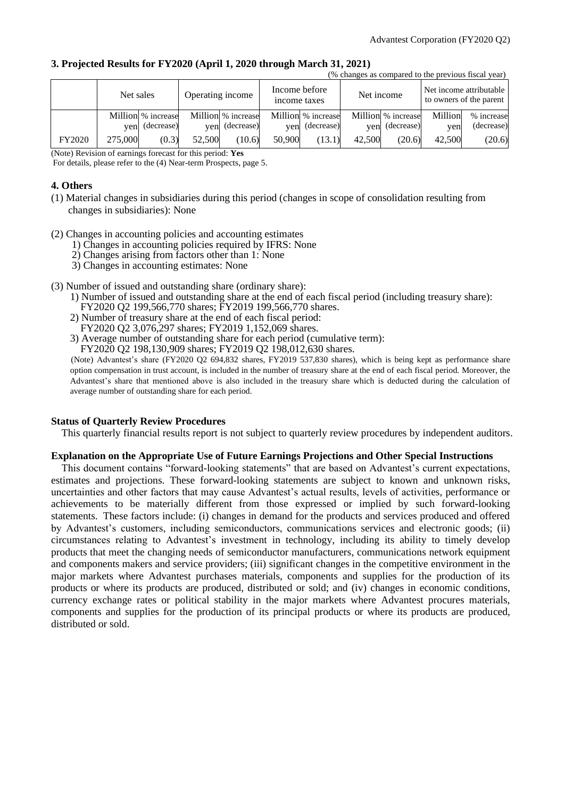(% changes as compared to the previous fiscal year)

### **3. Projected Results for FY2020 (April 1, 2020 through March 31, 2021)**

|        |           |                    |                  |                    |                               |                    |            | o changes as compared to the previous risear year. |         |                                                    |
|--------|-----------|--------------------|------------------|--------------------|-------------------------------|--------------------|------------|----------------------------------------------------|---------|----------------------------------------------------|
|        | Net sales |                    | Operating income |                    | Income before<br>income taxes |                    | Net income |                                                    |         | Net income attributable<br>to owners of the parent |
|        |           | Million % increase |                  | Million % increase |                               | Million % increase |            | Million % increase                                 | Million | % increase                                         |
|        |           | yen (decrease)     | ven              | (decrease)         | ven                           | (decrease)         |            | yen (decrease)                                     | ven     | (decrease)                                         |
| FY2020 | 275,000   | (0.3)              | 52,500           | (10.6)             | 50,900                        | (13.1)             | 42,500     | (20.6)                                             | 42,500  | (20.6)                                             |

(Note) Revision of earnings forecast for this period: **Yes**

For details, please refer to the (4) Near-term Prospects, page 5.

### **4. Others**

- (1) Material changes in subsidiaries during this period (changes in scope of consolidation resulting from changes in subsidiaries): None
- (2) Changes in accounting policies and accounting estimates
	- 1) Changes in accounting policies required by IFRS: None
	- 2) Changes arising from factors other than 1: None
	- 3) Changes in accounting estimates: None
- (3) Number of issued and outstanding share (ordinary share):
	- 1) Number of issued and outstanding share at the end of each fiscal period (including treasury share): FY2020 Q2 199,566,770 shares; FY2019 199,566,770 shares.
	- 2) Number of treasury share at the end of each fiscal period: FY2020 Q2 3,076,297 shares; FY2019 1,152,069 shares.
	- 3) Average number of outstanding share for each period (cumulative term):

FY2020 Q2 198,130,909 shares; FY2019 Q2 198,012,630 shares.

(Note) Advantest's share (FY2020 Q2 694,832 shares, FY2019 537,830 shares), which is being kept as performance share option compensation in trust account, is included in the number of treasury share at the end of each fiscal period. Moreover, the Advantest's share that mentioned above is also included in the treasury share which is deducted during the calculation of average number of outstanding share for each period.

### **Status of Quarterly Review Procedures**

This quarterly financial results report is not subject to quarterly review procedures by independent auditors.

### **Explanation on the Appropriate Use of Future Earnings Projections and Other Special Instructions**

This document contains "forward-looking statements" that are based on Advantest's current expectations, estimates and projections. These forward-looking statements are subject to known and unknown risks, uncertainties and other factors that may cause Advantest's actual results, levels of activities, performance or achievements to be materially different from those expressed or implied by such forward-looking statements. These factors include: (i) changes in demand for the products and services produced and offered by Advantest's customers, including semiconductors, communications services and electronic goods; (ii) circumstances relating to Advantest's investment in technology, including its ability to timely develop products that meet the changing needs of semiconductor manufacturers, communications network equipment and components makers and service providers; (iii) significant changes in the competitive environment in the major markets where Advantest purchases materials, components and supplies for the production of its products or where its products are produced, distributed or sold; and (iv) changes in economic conditions, currency exchange rates or political stability in the major markets where Advantest procures materials, components and supplies for the production of its principal products or where its products are produced, distributed or sold.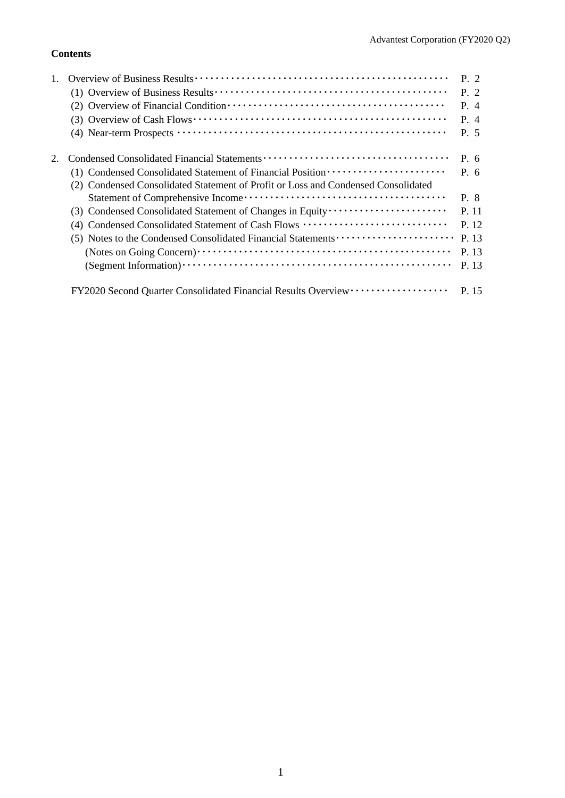## **Contents**

|                                                                                   | P. 2      |
|-----------------------------------------------------------------------------------|-----------|
|                                                                                   | P. 2      |
|                                                                                   | P. 4      |
|                                                                                   | P. 4      |
|                                                                                   | P. 5      |
|                                                                                   | P. 6      |
| (1) Condensed Consolidated Statement of Financial Position ······················ | $P_{0.6}$ |
| (2) Condensed Consolidated Statement of Profit or Loss and Condensed Consolidated |           |
|                                                                                   | P. 8      |
|                                                                                   | P. 11     |
| (4) Condensed Consolidated Statement of Cash Flows                                | P. 12     |
| (5) Notes to the Condensed Consolidated Financial Statements                      | P. 13     |
|                                                                                   | P. 13     |
|                                                                                   | P. 13     |
| FY2020 Second Quarter Consolidated Financial Results Overview ··················  | P. 15     |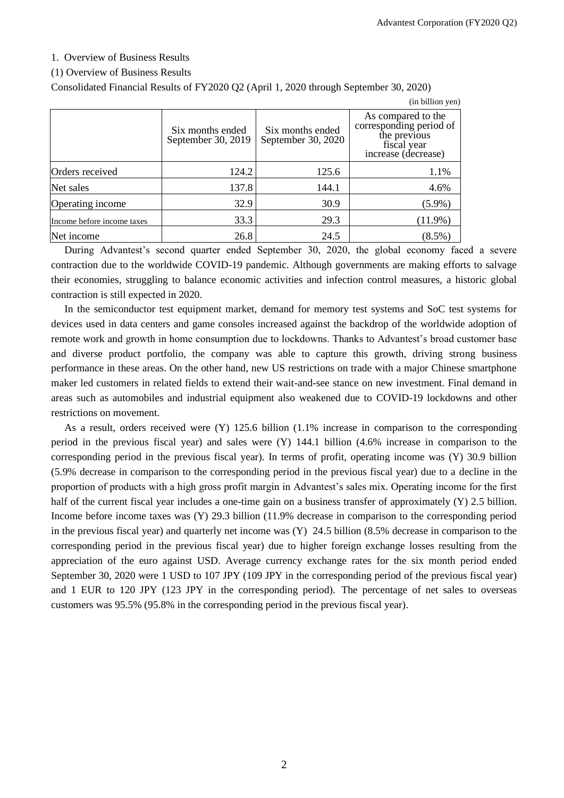### 1. Overview of Business Results

### (1) Overview of Business Results

Consolidated Financial Results of FY2020 Q2 (April 1, 2020 through September 30, 2020)

|                            |                                        |                                        | (in billion yen)                                                                                    |
|----------------------------|----------------------------------------|----------------------------------------|-----------------------------------------------------------------------------------------------------|
|                            | Six months ended<br>September 30, 2019 | Six months ended<br>September 30, 2020 | As compared to the<br>corresponding period of<br>the previous<br>fiscal year<br>increase (decrease) |
| Orders received            | 124.2                                  | 125.6                                  | 1.1%                                                                                                |
| Net sales                  | 137.8                                  | 144.1                                  | 4.6%                                                                                                |
| Operating income           | 32.9                                   | 30.9                                   | $(5.9\%)$                                                                                           |
| Income before income taxes | 33.3                                   | 29.3                                   | $(11.9\%)$                                                                                          |
| Net income                 | 26.8                                   | 24.5                                   | $(8.5\%)$                                                                                           |

During Advantest's second quarter ended September 30, 2020, the global economy faced a severe contraction due to the worldwide COVID-19 pandemic. Although governments are making efforts to salvage their economies, struggling to balance economic activities and infection control measures, a historic global contraction is still expected in 2020.

In the semiconductor test equipment market, demand for memory test systems and SoC test systems for devices used in data centers and game consoles increased against the backdrop of the worldwide adoption of remote work and growth in home consumption due to lockdowns. Thanks to Advantest's broad customer base and diverse product portfolio, the company was able to capture this growth, driving strong business performance in these areas. On the other hand, new US restrictions on trade with a major Chinese smartphone maker led customers in related fields to extend their wait-and-see stance on new investment. Final demand in areas such as automobiles and industrial equipment also weakened due to COVID-19 lockdowns and other restrictions on movement.

As a result, orders received were (Y) 125.6 billion (1.1% increase in comparison to the corresponding period in the previous fiscal year) and sales were (Y) 144.1 billion (4.6% increase in comparison to the corresponding period in the previous fiscal year). In terms of profit, operating income was (Y) 30.9 billion (5.9% decrease in comparison to the corresponding period in the previous fiscal year) due to a decline in the proportion of products with a high gross profit margin in Advantest's sales mix. Operating income for the first half of the current fiscal year includes a one-time gain on a business transfer of approximately (Y) 2.5 billion. Income before income taxes was (Y) 29.3 billion (11.9% decrease in comparison to the corresponding period in the previous fiscal year) and quarterly net income was (Y) 24.5 billion (8.5% decrease in comparison to the corresponding period in the previous fiscal year) due to higher foreign exchange losses resulting from the appreciation of the euro against USD. Average currency exchange rates for the six month period ended September 30, 2020 were 1 USD to 107 JPY (109 JPY in the corresponding period of the previous fiscal year) and 1 EUR to 120 JPY (123 JPY in the corresponding period). The percentage of net sales to overseas customers was 95.5% (95.8% in the corresponding period in the previous fiscal year).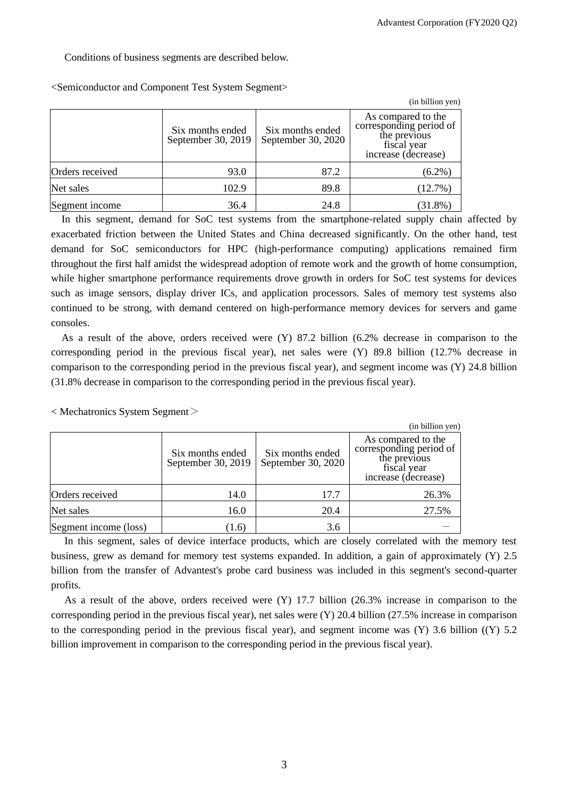Conditions of business segments are described below.

|                 |                                        |                                        | (in billion yen)                                                                                    |
|-----------------|----------------------------------------|----------------------------------------|-----------------------------------------------------------------------------------------------------|
|                 | Six months ended<br>September 30, 2019 | Six months ended<br>September 30, 2020 | As compared to the<br>corresponding period of<br>the previous<br>fiscal year<br>increase (decrease) |
| Orders received | 93.0                                   | 87.2                                   | $(6.2\%)$                                                                                           |
| Net sales       | 102.9                                  | 89.8                                   | (12.7%)                                                                                             |
| Segment income  | 36.4                                   | 24.8                                   | $(31.8\%)$                                                                                          |

<Semiconductor and Component Test System Segment>

In this segment, demand for SoC test systems from the smartphone-related supply chain affected by exacerbated friction between the United States and China decreased significantly. On the other hand, test demand for SoC semiconductors for HPC (high-performance computing) applications remained firm throughout the first half amidst the widespread adoption of remote work and the growth of home consumption, while higher smartphone performance requirements drove growth in orders for SoC test systems for devices such as image sensors, display driver ICs, and application processors. Sales of memory test systems also continued to be strong, with demand centered on high-performance memory devices for servers and game consoles.

As a result of the above, orders received were (Y) 87.2 billion (6.2% decrease in comparison to the corresponding period in the previous fiscal year), net sales were (Y) 89.8 billion (12.7% decrease in comparison to the corresponding period in the previous fiscal year), and segment income was (Y) 24.8 billion (31.8% decrease in comparison to the corresponding period in the previous fiscal year).

 $\langle$  Mechatronics System Segment $\langle$ 

|                       |                                        |                                        | (in billion yen)                                                                                    |
|-----------------------|----------------------------------------|----------------------------------------|-----------------------------------------------------------------------------------------------------|
|                       | Six months ended<br>September 30, 2019 | Six months ended<br>September 30, 2020 | As compared to the<br>corresponding period of<br>the previous<br>fiscal year<br>increase (decrease) |
| Orders received       | 14.0                                   | 17.7                                   | 26.3%                                                                                               |
| Net sales             | 16.0                                   | 20.4                                   | 27.5%                                                                                               |
| Segment income (loss) | (1.6)                                  | 3.6                                    |                                                                                                     |

In this segment, sales of device interface products, which are closely correlated with the memory test business, grew as demand for memory test systems expanded. In addition, a gain of approximately (Y) 2.5 billion from the transfer of Advantest's probe card business was included in this segment's second-quarter profits.

As a result of the above, orders received were (Y) 17.7 billion (26.3% increase in comparison to the corresponding period in the previous fiscal year), net sales were (Y) 20.4 billion (27.5% increase in comparison to the corresponding period in the previous fiscal year), and segment income was  $(Y)$  3.6 billion  $((Y)$  5.2 billion improvement in comparison to the corresponding period in the previous fiscal year).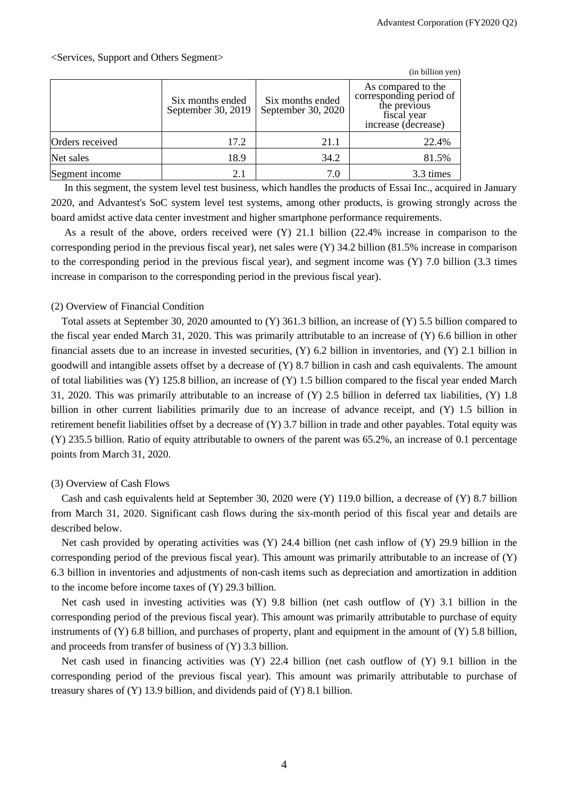### <Services, Support and Others Segment>

|                 |                                        |                                        | (in billion yen)                                                                                    |
|-----------------|----------------------------------------|----------------------------------------|-----------------------------------------------------------------------------------------------------|
|                 | Six months ended<br>September 30, 2019 | Six months ended<br>September 30, 2020 | As compared to the<br>corresponding period of<br>the previous<br>fiscal year<br>increase (decrease) |
| Orders received | 17.2                                   | 21.1                                   | 22.4%                                                                                               |
| Net sales       | 18.9                                   | 34.2                                   | 81.5%                                                                                               |
| Segment income  | 2.1                                    | 7.0                                    | 3.3 times                                                                                           |

In this segment, the system level test business, which handles the products of Essai Inc., acquired in January 2020, and Advantest's SoC system level test systems, among other products, is growing strongly across the board amidst active data center investment and higher smartphone performance requirements.

As a result of the above, orders received were (Y) 21.1 billion (22.4% increase in comparison to the corresponding period in the previous fiscal year), net sales were (Y) 34.2 billion (81.5% increase in comparison to the corresponding period in the previous fiscal year), and segment income was (Y) 7.0 billion (3.3 times increase in comparison to the corresponding period in the previous fiscal year).

### (2) Overview of Financial Condition

Total assets at September 30, 2020 amounted to (Y) 361.3 billion, an increase of (Y) 5.5 billion compared to the fiscal year ended March 31, 2020. This was primarily attributable to an increase of (Y) 6.6 billion in other financial assets due to an increase in invested securities, (Y) 6.2 billion in inventories, and (Y) 2.1 billion in goodwill and intangible assets offset by a decrease of (Y) 8.7 billion in cash and cash equivalents. The amount of total liabilities was (Y) 125.8 billion, an increase of (Y) 1.5 billion compared to the fiscal year ended March 31, 2020. This was primarily attributable to an increase of (Y) 2.5 billion in deferred tax liabilities, (Y) 1.8 billion in other current liabilities primarily due to an increase of advance receipt, and (Y) 1.5 billion in retirement benefit liabilities offset by a decrease of (Y) 3.7 billion in trade and other payables. Total equity was (Y) 235.5 billion. Ratio of equity attributable to owners of the parent was 65.2%, an increase of 0.1 percentage points from March 31, 2020.

### (3) Overview of Cash Flows

Cash and cash equivalents held at September 30, 2020 were (Y) 119.0 billion, a decrease of (Y) 8.7 billion from March 31, 2020. Significant cash flows during the six-month period of this fiscal year and details are described below.

Net cash provided by operating activities was (Y) 24.4 billion (net cash inflow of (Y) 29.9 billion in the corresponding period of the previous fiscal year). This amount was primarily attributable to an increase of (Y) 6.3 billion in inventories and adjustments of non-cash items such as depreciation and amortization in addition to the income before income taxes of (Y) 29.3 billion.

Net cash used in investing activities was (Y) 9.8 billion (net cash outflow of (Y) 3.1 billion in the corresponding period of the previous fiscal year). This amount was primarily attributable to purchase of equity instruments of  $(Y)$  6.8 billion, and purchases of property, plant and equipment in the amount of  $(Y)$  5.8 billion, and proceeds from transfer of business of (Y) 3.3 billion.

Net cash used in financing activities was (Y) 22.4 billion (net cash outflow of (Y) 9.1 billion in the corresponding period of the previous fiscal year). This amount was primarily attributable to purchase of treasury shares of (Y) 13.9 billion, and dividends paid of (Y) 8.1 billion.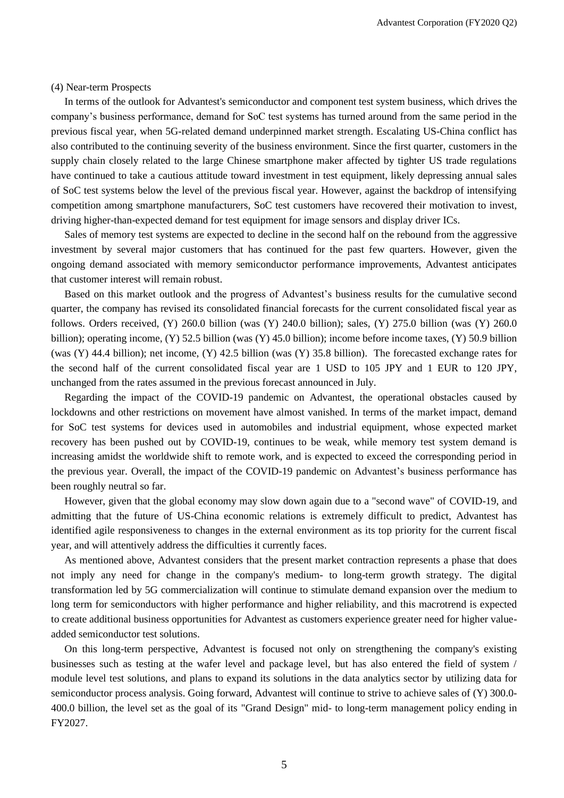#### (4) Near-term Prospects

In terms of the outlook for Advantest's semiconductor and component test system business, which drives the company's business performance, demand for SoC test systems has turned around from the same period in the previous fiscal year, when 5G-related demand underpinned market strength. Escalating US-China conflict has also contributed to the continuing severity of the business environment. Since the first quarter, customers in the supply chain closely related to the large Chinese smartphone maker affected by tighter US trade regulations have continued to take a cautious attitude toward investment in test equipment, likely depressing annual sales of SoC test systems below the level of the previous fiscal year. However, against the backdrop of intensifying competition among smartphone manufacturers, SoC test customers have recovered their motivation to invest, driving higher-than-expected demand for test equipment for image sensors and display driver ICs.

Sales of memory test systems are expected to decline in the second half on the rebound from the aggressive investment by several major customers that has continued for the past few quarters. However, given the ongoing demand associated with memory semiconductor performance improvements, Advantest anticipates that customer interest will remain robust.

Based on this market outlook and the progress of Advantest's business results for the cumulative second quarter, the company has revised its consolidated financial forecasts for the current consolidated fiscal year as follows. Orders received,  $(Y)$  260.0 billion (was  $(Y)$  240.0 billion); sales,  $(Y)$  275.0 billion (was  $(Y)$  260.0 billion); operating income, (Y) 52.5 billion (was (Y) 45.0 billion); income before income taxes, (Y) 50.9 billion (was (Y) 44.4 billion); net income, (Y) 42.5 billion (was (Y) 35.8 billion). The forecasted exchange rates for the second half of the current consolidated fiscal year are 1 USD to 105 JPY and 1 EUR to 120 JPY, unchanged from the rates assumed in the previous forecast announced in July.

Regarding the impact of the COVID-19 pandemic on Advantest, the operational obstacles caused by lockdowns and other restrictions on movement have almost vanished. In terms of the market impact, demand for SoC test systems for devices used in automobiles and industrial equipment, whose expected market recovery has been pushed out by COVID-19, continues to be weak, while memory test system demand is increasing amidst the worldwide shift to remote work, and is expected to exceed the corresponding period in the previous year. Overall, the impact of the COVID-19 pandemic on Advantest's business performance has been roughly neutral so far.

However, given that the global economy may slow down again due to a "second wave" of COVID-19, and admitting that the future of US-China economic relations is extremely difficult to predict, Advantest has identified agile responsiveness to changes in the external environment as its top priority for the current fiscal year, and will attentively address the difficulties it currently faces.

As mentioned above, Advantest considers that the present market contraction represents a phase that does not imply any need for change in the company's medium- to long-term growth strategy. The digital transformation led by 5G commercialization will continue to stimulate demand expansion over the medium to long term for semiconductors with higher performance and higher reliability, and this macrotrend is expected to create additional business opportunities for Advantest as customers experience greater need for higher valueadded semiconductor test solutions.

On this long-term perspective, Advantest is focused not only on strengthening the company's existing businesses such as testing at the wafer level and package level, but has also entered the field of system / module level test solutions, and plans to expand its solutions in the data analytics sector by utilizing data for semiconductor process analysis. Going forward, Advantest will continue to strive to achieve sales of (Y) 300.0- 400.0 billion, the level set as the goal of its "Grand Design" mid- to long-term management policy ending in FY2027.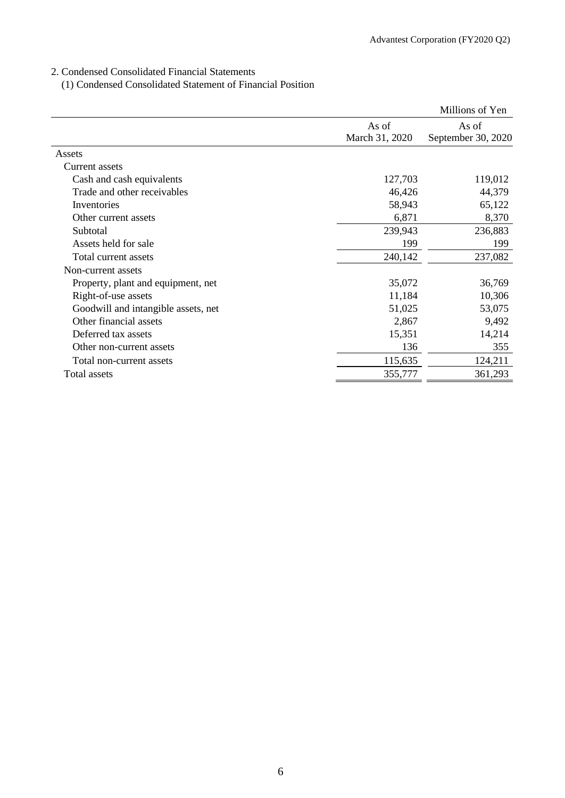## 2. Condensed Consolidated Financial Statements

(1) Condensed Consolidated Statement of Financial Position

|                                     |                         | Millions of Yen             |
|-------------------------------------|-------------------------|-----------------------------|
|                                     | As of<br>March 31, 2020 | As of<br>September 30, 2020 |
|                                     |                         |                             |
| Assets                              |                         |                             |
| Current assets                      |                         |                             |
| Cash and cash equivalents           | 127,703                 | 119,012                     |
| Trade and other receivables         | 46,426                  | 44,379                      |
| Inventories                         | 58,943                  | 65,122                      |
| Other current assets                | 6,871                   | 8,370                       |
| Subtotal                            | 239,943                 | 236,883                     |
| Assets held for sale                | 199                     | 199                         |
| Total current assets                | 240,142                 | 237,082                     |
| Non-current assets                  |                         |                             |
| Property, plant and equipment, net  | 35,072                  | 36,769                      |
| Right-of-use assets                 | 11,184                  | 10,306                      |
| Goodwill and intangible assets, net | 51,025                  | 53,075                      |
| Other financial assets              | 2,867                   | 9,492                       |
| Deferred tax assets                 | 15,351                  | 14,214                      |
| Other non-current assets            | 136                     | 355                         |
| Total non-current assets            | 115,635                 | 124,211                     |
| Total assets                        | 355,777                 | 361,293                     |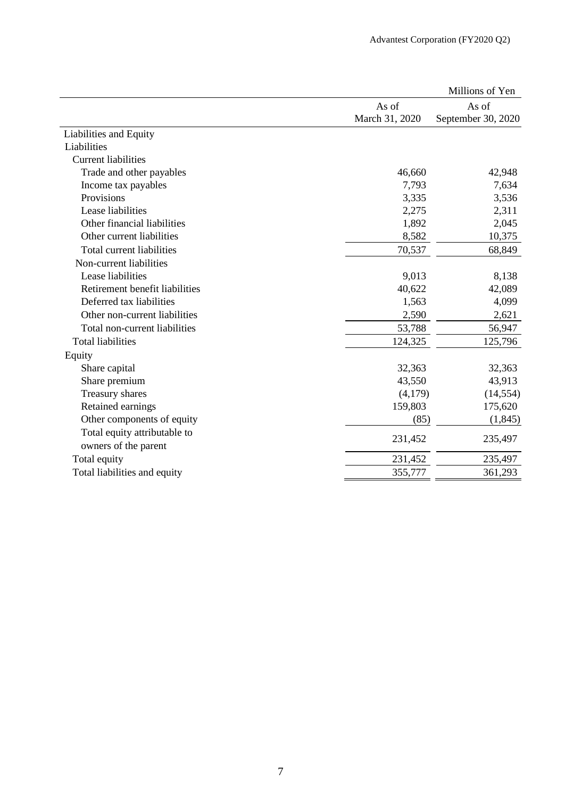|                                |                | Millions of Yen    |
|--------------------------------|----------------|--------------------|
|                                | As of          | As of              |
|                                | March 31, 2020 | September 30, 2020 |
| Liabilities and Equity         |                |                    |
| Liabilities                    |                |                    |
| <b>Current liabilities</b>     |                |                    |
| Trade and other payables       | 46,660         | 42,948             |
| Income tax payables            | 7,793          | 7,634              |
| Provisions                     | 3,335          | 3,536              |
| Lease liabilities              | 2,275          | 2,311              |
| Other financial liabilities    | 1,892          | 2,045              |
| Other current liabilities      | 8,582          | 10,375             |
| Total current liabilities      | 70,537         | 68,849             |
| Non-current liabilities        |                |                    |
| Lease liabilities              | 9,013          | 8,138              |
| Retirement benefit liabilities | 40,622         | 42,089             |
| Deferred tax liabilities       | 1,563          | 4,099              |
| Other non-current liabilities  | 2,590          | 2,621              |
| Total non-current liabilities  | 53,788         | 56,947             |
| <b>Total liabilities</b>       | 124,325        | 125,796            |
| Equity                         |                |                    |
| Share capital                  | 32,363         | 32,363             |
| Share premium                  | 43,550         | 43,913             |
| Treasury shares                | (4,179)        | (14, 554)          |
| Retained earnings              | 159,803        | 175,620            |
| Other components of equity     | (85)           | (1, 845)           |
| Total equity attributable to   |                |                    |
| owners of the parent           | 231,452        | 235,497            |
| Total equity                   | 231,452        | 235,497            |
| Total liabilities and equity   | 355,777        | 361,293            |
|                                |                |                    |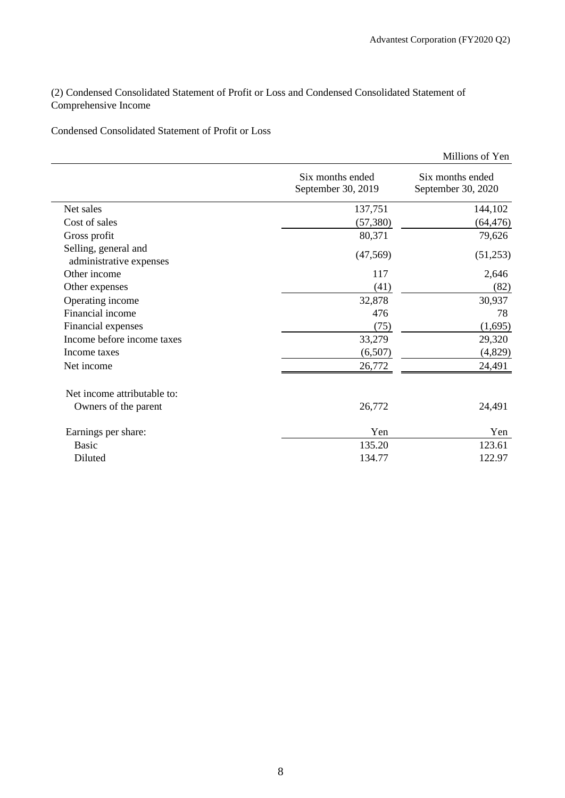(2) Condensed Consolidated Statement of Profit or Loss and Condensed Consolidated Statement of Comprehensive Income

Condensed Consolidated Statement of Profit or Loss

|                                                 |                                        | Millions of Yen                        |
|-------------------------------------------------|----------------------------------------|----------------------------------------|
|                                                 | Six months ended<br>September 30, 2019 | Six months ended<br>September 30, 2020 |
| Net sales                                       | 137,751                                | 144,102                                |
| Cost of sales                                   | (57, 380)                              | (64, 476)                              |
| Gross profit                                    | 80,371                                 | 79,626                                 |
| Selling, general and<br>administrative expenses | (47, 569)                              | (51,253)                               |
| Other income                                    | 117                                    | 2,646                                  |
| Other expenses                                  | (41)                                   | (82)                                   |
| Operating income                                | 32,878                                 | 30,937                                 |
| Financial income                                | 476                                    | 78                                     |
| Financial expenses                              | (75)                                   | (1,695)                                |
| Income before income taxes                      | 33,279                                 | 29,320                                 |
| Income taxes                                    | (6,507)                                | (4,829)                                |
| Net income                                      | 26,772                                 | 24,491                                 |
| Net income attributable to:                     |                                        |                                        |
| Owners of the parent                            | 26,772                                 | 24,491                                 |
| Earnings per share:                             | Yen                                    | Yen                                    |
| <b>Basic</b>                                    | 135.20                                 | 123.61                                 |
| Diluted                                         | 134.77                                 | 122.97                                 |
|                                                 |                                        |                                        |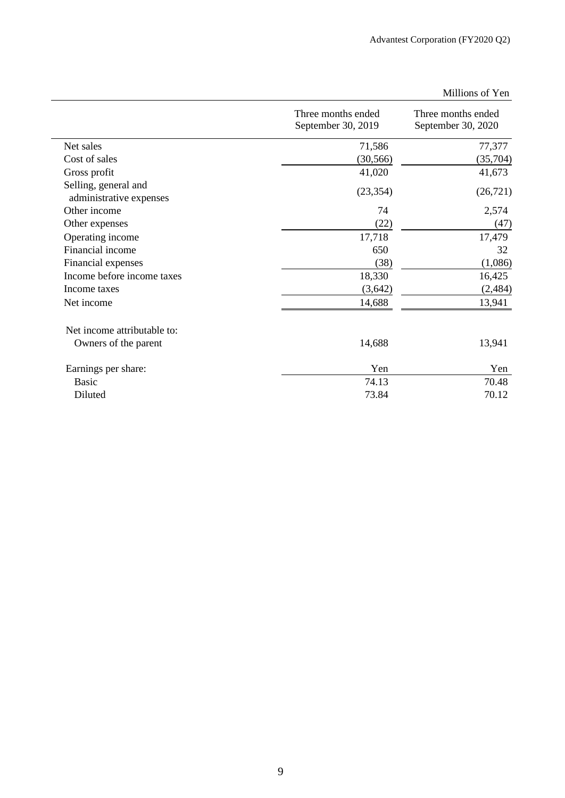|                                                 | Three months ended<br>September 30, 2019 | Three months ended<br>September 30, 2020 |
|-------------------------------------------------|------------------------------------------|------------------------------------------|
| Net sales                                       | 71,586                                   | 77,377                                   |
| Cost of sales                                   | (30, 566)                                | (35,704)                                 |
| Gross profit                                    | 41,020                                   | 41,673                                   |
| Selling, general and<br>administrative expenses | (23, 354)                                | (26, 721)                                |
| Other income                                    | 74                                       | 2,574                                    |
| Other expenses                                  | (22)                                     | (47)                                     |
| Operating income                                | 17,718                                   | 17,479                                   |
| Financial income                                | 650                                      | 32                                       |
| Financial expenses                              | (38)                                     | (1,086)                                  |
| Income before income taxes                      | 18,330                                   | 16,425                                   |
| Income taxes                                    | (3,642)                                  | (2, 484)                                 |
| Net income                                      | 14,688                                   | 13,941                                   |
| Net income attributable to:                     |                                          |                                          |
| Owners of the parent                            | 14,688                                   | 13,941                                   |
| Earnings per share:                             | Yen                                      | Yen                                      |
| <b>Basic</b>                                    | 74.13                                    | 70.48                                    |
| Diluted                                         | 73.84                                    | 70.12                                    |

## Millions of Yen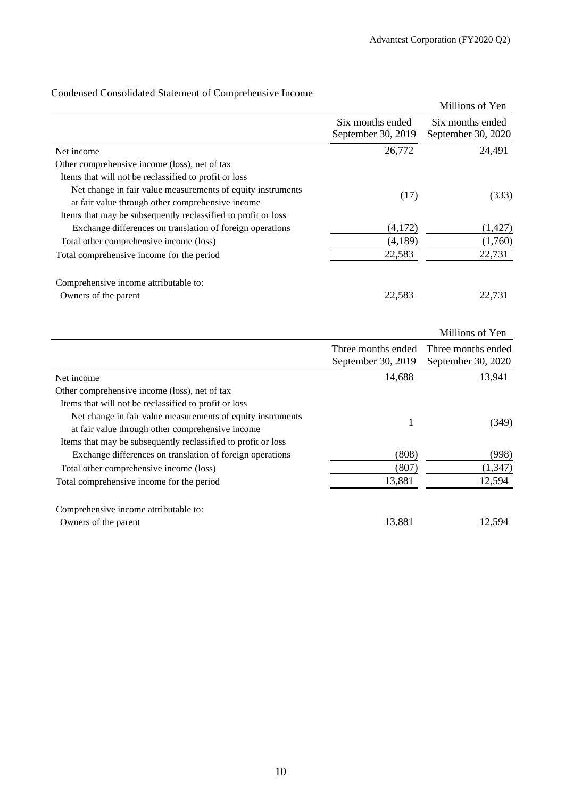|                                                               |                                        | Millions of Yen                        |
|---------------------------------------------------------------|----------------------------------------|----------------------------------------|
|                                                               | Six months ended<br>September 30, 2019 | Six months ended<br>September 30, 2020 |
| Net income                                                    | 26,772                                 | 24,491                                 |
| Other comprehensive income (loss), net of tax                 |                                        |                                        |
| Items that will not be reclassified to profit or loss         |                                        |                                        |
| Net change in fair value measurements of equity instruments   | (17)                                   | (333)                                  |
| at fair value through other comprehensive income              |                                        |                                        |
| Items that may be subsequently reclassified to profit or loss |                                        |                                        |
| Exchange differences on translation of foreign operations     | (4,172)                                | (1, 427)                               |
| Total other comprehensive income (loss)                       | (4,189)                                | (1,760)                                |
| Total comprehensive income for the period                     | 22,583                                 | 22,731                                 |
| Comprehensive income attributable to:                         |                                        |                                        |
| Owners of the parent                                          | 22,583                                 | 22,731                                 |
|                                                               |                                        |                                        |
|                                                               |                                        | Millions of Yen                        |
|                                                               | Three months ended                     | Three months ended                     |
|                                                               | September 30, 2019                     | September 30, 2020                     |
| Net income                                                    | 14,688                                 | 13,941                                 |
| Other comprehensive income (loss), net of tax                 |                                        |                                        |

## Condensed Consolidated Statement of Comprehensive Income

| Other comprehensive income (loss), net of tax                 |        |          |
|---------------------------------------------------------------|--------|----------|
| Items that will not be reclassified to profit or loss         |        |          |
| Net change in fair value measurements of equity instruments   |        | (349)    |
| at fair value through other comprehensive income              |        |          |
| Items that may be subsequently reclassified to profit or loss |        |          |
| Exchange differences on translation of foreign operations     | (808)  | (998)    |
| Total other comprehensive income (loss)                       | (807)  | (1, 347) |
| Total comprehensive income for the period                     | 13,881 | 12,594   |
| Comprehensive income attributable to:                         |        |          |
| Owners of the parent                                          | 13,881 | 12,594   |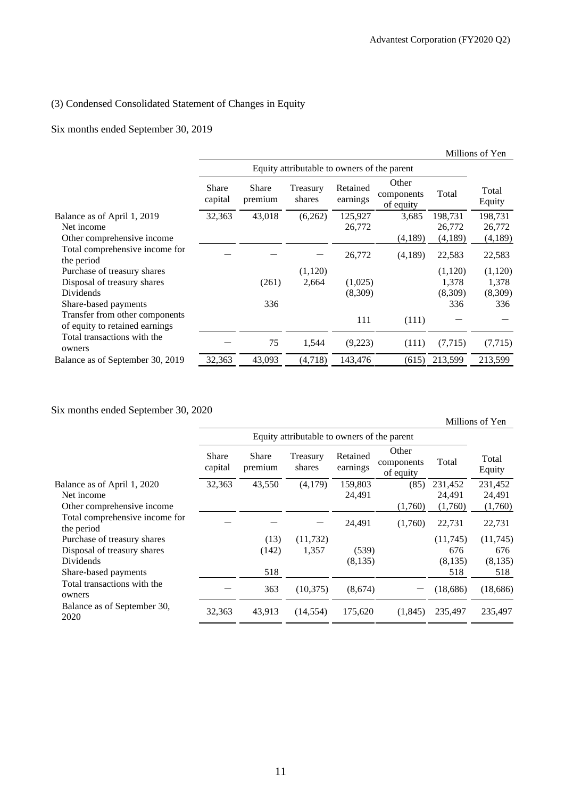### (3) Condensed Consolidated Statement of Changes in Equity

### Six months ended September 30, 2019

|                                                                  |                         |                         |                                             |                      |                                  |          | Millions of Yen |
|------------------------------------------------------------------|-------------------------|-------------------------|---------------------------------------------|----------------------|----------------------------------|----------|-----------------|
|                                                                  |                         |                         | Equity attributable to owners of the parent |                      |                                  |          |                 |
|                                                                  | <b>Share</b><br>capital | <b>Share</b><br>premium | Treasury<br>shares                          | Retained<br>earnings | Other<br>components<br>of equity | Total    | Total<br>Equity |
| Balance as of April 1, 2019                                      | 32,363                  | 43,018                  | (6,262)                                     | 125,927              | 3,685                            | 198,731  | 198,731         |
| Net income                                                       |                         |                         |                                             | 26,772               |                                  | 26,772   | 26,772          |
| Other comprehensive income                                       |                         |                         |                                             |                      | (4,189)                          | (4,189)  | (4,189)         |
| Total comprehensive income for<br>the period                     |                         |                         |                                             | 26,772               | (4,189)                          | 22,583   | 22,583          |
| Purchase of treasury shares                                      |                         |                         | (1,120)                                     |                      |                                  | (1,120)  | (1,120)         |
| Disposal of treasury shares                                      |                         | (261)                   | 2,664                                       | (1,025)              |                                  | 1,378    | 1,378           |
| Dividends                                                        |                         |                         |                                             | (8,309)              |                                  | (8,309)  | (8,309)         |
| Share-based payments                                             |                         | 336                     |                                             |                      |                                  | 336      | 336             |
| Transfer from other components<br>of equity to retained earnings |                         |                         |                                             | 111                  | (111)                            |          |                 |
| Total transactions with the<br>owners                            |                         | 75                      | 1,544                                       | (9,223)              | (111)                            | (7, 715) | (7, 715)        |
| Balance as of September 30, 2019                                 | 32,363                  | 43,093                  | (4,718)                                     | 143,476              | (615)                            | 213,599  | 213,599         |

### Six months ended September 30, 2020

Millions of Yen Equity attributable to owners of the parent Total Equity Share capital Share premium Treasury shares Retained earnings Other components of equity Total Balance as of April 1, 2020  $\overline{32,363}$   $\overline{43,550}$   $\overline{(4,179)}$   $\overline{159,803}$   $\overline{(85)}$   $\overline{231,452}$   $\overline{231,452}$ Net income 24,491 24,491 24,491 24,491 24,491 24,491 24,491 24,491 24,491 24,491 24,491 24,491 24,491 24,491 24,491 24,491 24,491 24,491 24,491  $\alpha$ Other comprehensive income (1,760) (1,760) (1,760) (1,760) (1,760) Total comprehensive income for the period  $24,491$   $(1,760)$   $22,731$   $22,731$ Purchase of treasury shares (13) (11,732) (11,745) (11,745) Disposal of treasury shares (142) 1,357 (539) 676 676 Dividends (8,135) (8,135) (8,135) Share-based payments 518 518 518 518 518 518 518 Total transactions with the owners  $-$  363 (10,375) (8,674)  $-$  (18,686) (18,686) Balance as of September 30, 2020 32,363 43,913 (14,554) 175,620 (1,845) 235,497 235,497 235,497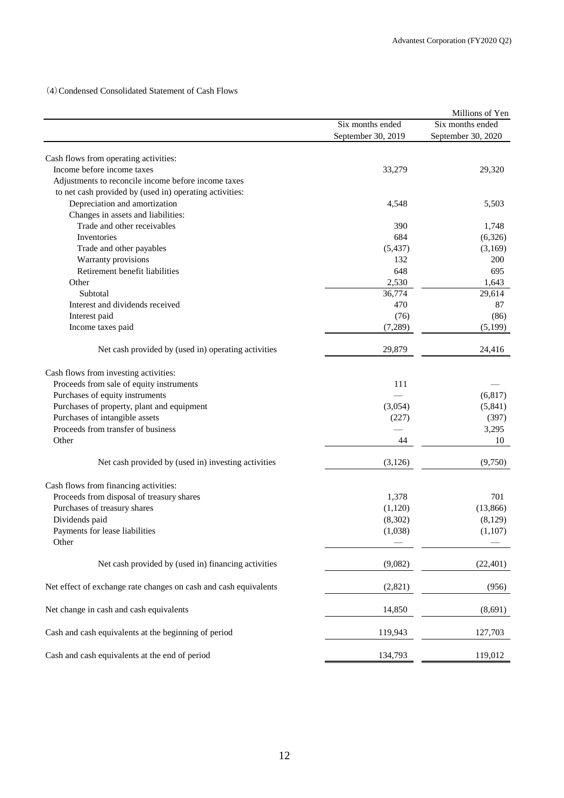(4)Condensed Consolidated Statement of Cash Flows

|                                                                     |                    | Millions of Yen    |
|---------------------------------------------------------------------|--------------------|--------------------|
|                                                                     | Six months ended   | Six months ended   |
|                                                                     | September 30, 2019 | September 30, 2020 |
|                                                                     |                    |                    |
| Cash flows from operating activities:<br>Income before income taxes |                    |                    |
|                                                                     | 33,279             | 29,320             |
| Adjustments to reconcile income before income taxes                 |                    |                    |
| to net cash provided by (used in) operating activities:             |                    |                    |
| Depreciation and amortization                                       | 4,548              | 5,503              |
| Changes in assets and liabilities:                                  |                    |                    |
| Trade and other receivables                                         | 390                | 1,748              |
| <b>Inventories</b>                                                  | 684                | (6,326)            |
| Trade and other payables                                            | (5, 437)           | (3,169)            |
| Warranty provisions                                                 | 132                | 200                |
| Retirement benefit liabilities                                      | 648                | 695                |
| Other                                                               | 2,530              | 1,643              |
| Subtotal                                                            | 36,774             | 29,614             |
| Interest and dividends received                                     | 470                | 87                 |
| Interest paid                                                       | (76)               | (86)               |
| Income taxes paid                                                   | (7,289)            | (5,199)            |
|                                                                     |                    | 24,416             |
| Net cash provided by (used in) operating activities                 | 29,879             |                    |
| Cash flows from investing activities:                               |                    |                    |
| Proceeds from sale of equity instruments                            | 111                |                    |
| Purchases of equity instruments                                     |                    | (6, 817)           |
| Purchases of property, plant and equipment                          | (3,054)            | (5,841)            |
| Purchases of intangible assets                                      | (227)              | (397)              |
| Proceeds from transfer of business                                  |                    | 3,295              |
| Other                                                               | 44                 | 10                 |
|                                                                     |                    |                    |
| Net cash provided by (used in) investing activities                 | (3, 126)           | (9,750)            |
| Cash flows from financing activities:                               |                    |                    |
| Proceeds from disposal of treasury shares                           | 1,378              | 701                |
| Purchases of treasury shares                                        | (1,120)            | (13, 866)          |
| Dividends paid                                                      | (8,302)            | (8,129)            |
| Payments for lease liabilities                                      | (1,038)            | (1,107)            |
| Other                                                               |                    |                    |
|                                                                     |                    |                    |
| Net cash provided by (used in) financing activities                 | (9,082)            | (22, 401)          |
| Net effect of exchange rate changes on cash and cash equivalents    | (2,821)            | (956)              |
| Net change in cash and cash equivalents                             | 14,850             | (8,691)            |
| Cash and cash equivalents at the beginning of period                | 119,943            | 127,703            |
| Cash and cash equivalents at the end of period                      | 134,793            | 119,012            |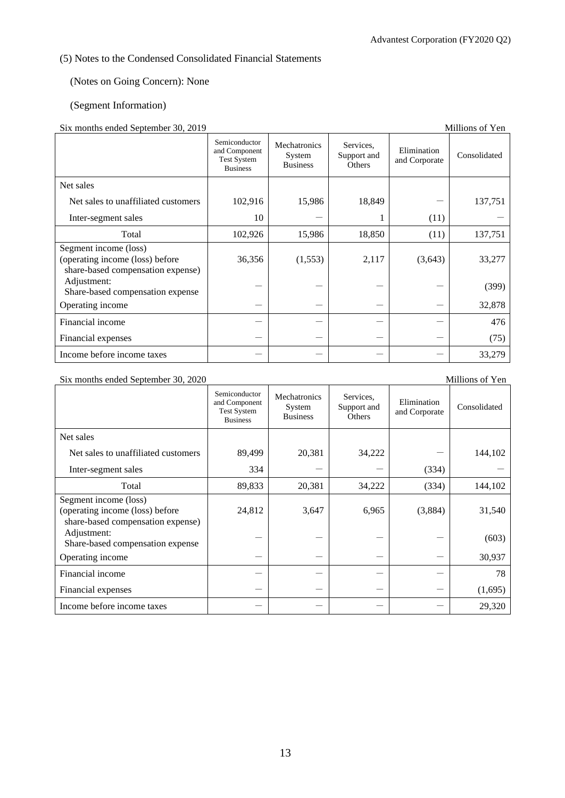## (5) Notes to the Condensed Consolidated Financial Statements

## (Notes on Going Concern): None

### (Segment Information)

### Six months ended September 30, 2019

| $\mathcal{S}_{\text{IA}}$ indities ended $\mathcal{S}_{\text{c}}$ epicinoer $\mathcal{S}_{\text{O}}$ , $\mathcal{Z}_{\text{O}}$ is<br>минону от теп |                                                                         |                                           |                                    |                              |              |  |  |
|-----------------------------------------------------------------------------------------------------------------------------------------------------|-------------------------------------------------------------------------|-------------------------------------------|------------------------------------|------------------------------|--------------|--|--|
|                                                                                                                                                     | Semiconductor<br>and Component<br><b>Test System</b><br><b>Business</b> | Mechatronics<br>System<br><b>Business</b> | Services,<br>Support and<br>Others | Elimination<br>and Corporate | Consolidated |  |  |
| Net sales                                                                                                                                           |                                                                         |                                           |                                    |                              |              |  |  |
| Net sales to unaffiliated customers                                                                                                                 | 102,916                                                                 | 15,986                                    | 18,849                             |                              | 137,751      |  |  |
| Inter-segment sales                                                                                                                                 | 10                                                                      |                                           |                                    | (11)                         |              |  |  |
| Total                                                                                                                                               | 102,926                                                                 | 15,986                                    | 18,850                             | (11)                         | 137,751      |  |  |
| Segment income (loss)<br>(operating income (loss) before<br>share-based compensation expense)                                                       | 36,356                                                                  | (1,553)                                   | 2,117                              | (3,643)                      | 33,277       |  |  |
| Adjustment:<br>Share-based compensation expense                                                                                                     |                                                                         |                                           |                                    |                              | (399)        |  |  |
| Operating income                                                                                                                                    |                                                                         |                                           |                                    |                              | 32,878       |  |  |
| Financial income                                                                                                                                    |                                                                         |                                           |                                    |                              | 476          |  |  |
| Financial expenses                                                                                                                                  |                                                                         |                                           |                                    |                              | (75)         |  |  |
| Income before income taxes                                                                                                                          |                                                                         |                                           |                                    |                              | 33,279       |  |  |

Six months ended September 30, 2020 Millions of Yen

| $\mu$ . months ended september $\sigma$ , 2020                                                | Semiconductor<br>and Component<br><b>Test System</b><br><b>Business</b> | Mechatronics<br>System<br><b>Business</b> | Services,<br>Support and<br>Others | Elimination<br>and Corporate | Consolidated |
|-----------------------------------------------------------------------------------------------|-------------------------------------------------------------------------|-------------------------------------------|------------------------------------|------------------------------|--------------|
| Net sales                                                                                     |                                                                         |                                           |                                    |                              |              |
| Net sales to unaffiliated customers                                                           | 89,499                                                                  | 20,381                                    | 34,222                             |                              | 144,102      |
| Inter-segment sales                                                                           | 334                                                                     |                                           |                                    | (334)                        |              |
| Total                                                                                         | 89,833                                                                  | 20,381                                    | 34,222                             | (334)                        | 144,102      |
| Segment income (loss)<br>(operating income (loss) before<br>share-based compensation expense) | 24,812                                                                  | 3,647                                     | 6,965                              | (3,884)                      | 31,540       |
| Adjustment:<br>Share-based compensation expense                                               |                                                                         |                                           |                                    |                              | (603)        |
| Operating income                                                                              |                                                                         |                                           |                                    |                              | 30,937       |
| Financial income                                                                              |                                                                         |                                           |                                    |                              | 78           |
| Financial expenses                                                                            |                                                                         |                                           |                                    |                              | (1,695)      |
| Income before income taxes                                                                    |                                                                         |                                           |                                    |                              | 29,320       |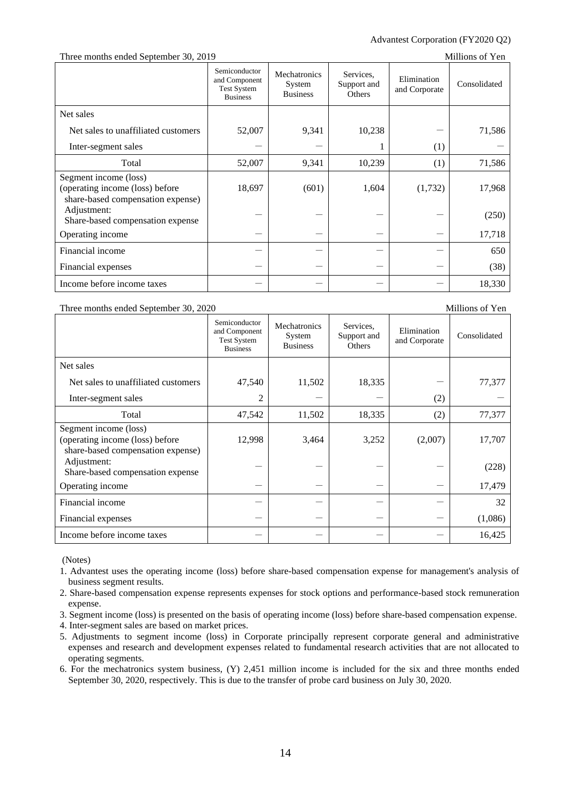### Advantest Corporation (FY2020 Q2)

Three months ended September 30, 2019 Millions of Yen

| $\frac{1}{2}$ . The moments of $\frac{1}{2}$ of $\frac{1}{2}$ . The moment of $\frac{1}{2}$ of $\frac{1}{2}$ |                                                                         |                                           |                                    |                              |              |
|--------------------------------------------------------------------------------------------------------------|-------------------------------------------------------------------------|-------------------------------------------|------------------------------------|------------------------------|--------------|
|                                                                                                              | Semiconductor<br>and Component<br><b>Test System</b><br><b>Business</b> | Mechatronics<br>System<br><b>Business</b> | Services.<br>Support and<br>Others | Elimination<br>and Corporate | Consolidated |
| Net sales                                                                                                    |                                                                         |                                           |                                    |                              |              |
| Net sales to unaffiliated customers                                                                          | 52,007                                                                  | 9,341                                     | 10,238                             |                              | 71,586       |
| Inter-segment sales                                                                                          |                                                                         |                                           |                                    | (1)                          |              |
| Total                                                                                                        | 52,007                                                                  | 9,341                                     | 10,239                             | (1)                          | 71,586       |
| Segment income (loss)<br>(operating income (loss) before<br>share-based compensation expense)                | 18,697                                                                  | (601)                                     | 1,604                              | (1,732)                      | 17,968       |
| Adjustment:<br>Share-based compensation expense                                                              |                                                                         |                                           |                                    |                              | (250)        |
| Operating income                                                                                             |                                                                         |                                           |                                    |                              | 17,718       |
| Financial income                                                                                             |                                                                         |                                           |                                    |                              | 650          |
| Financial expenses                                                                                           |                                                                         |                                           |                                    |                              | (38)         |
| Income before income taxes                                                                                   |                                                                         |                                           |                                    |                              | 18,330       |

#### Three months ended September 30, 2020 Millions of Yen

Semiconductor and Component Test System Business Mechatronics System Business Services, Support and **Others** Elimination Elimination Consolidated<br>and Corporate Consolidated Net sales Net sales to unaffiliated customers  $\begin{vmatrix} 47,540 & 11,502 & 18,335 \end{vmatrix}$   $\begin{vmatrix} 1,502 & 18,335 \end{vmatrix}$   $\begin{vmatrix} -1 & 77,377 \end{vmatrix}$ Inter-segment sales  $2 \mid -| -| -|$  (2) Total 17,542 11,502 18,335 (2) 77,377 Segment income (loss) (operating income (loss) before share-based compensation expense) 12,998 3,464 3,252 (2,007) 17,707 Adjustment:  $S<sub>h</sub>$  -  $S<sub>h</sub>$  -  $S<sub>h</sub>$  -  $S<sub>h</sub>$  -  $S<sub>h</sub>$  -  $S<sub>h</sub>$  -  $S<sub>h</sub>$  -  $S<sub>h</sub>$  -  $S<sub>h</sub>$  -  $S<sub>h</sub>$  -  $S<sub>h</sub>$  -  $S<sub>h</sub>$  -  $S<sub>h</sub>$  -  $S<sub>h</sub>$  -  $S<sub>h</sub>$  -  $S<sub>h</sub>$  -  $S<sub>h</sub>$  - Operating income  $17,479$ Financial income - - - - 32 Financial expenses  $(1.086)$ Income before income taxes  $16,425$ 

(Notes)

1. Advantest uses the operating income (loss) before share-based compensation expense for management's analysis of business segment results.

2. Share-based compensation expense represents expenses for stock options and performance-based stock remuneration expense.

3. Segment income (loss) is presented on the basis of operating income (loss) before share-based compensation expense.

4. Inter-segment sales are based on market prices.

5. Adjustments to segment income (loss) in Corporate principally represent corporate general and administrative expenses and research and development expenses related to fundamental research activities that are not allocated to operating segments.

6. For the mechatronics system business, (Y) 2,451 million income is included for the six and three months ended September 30, 2020, respectively. This is due to the transfer of probe card business on July 30, 2020.